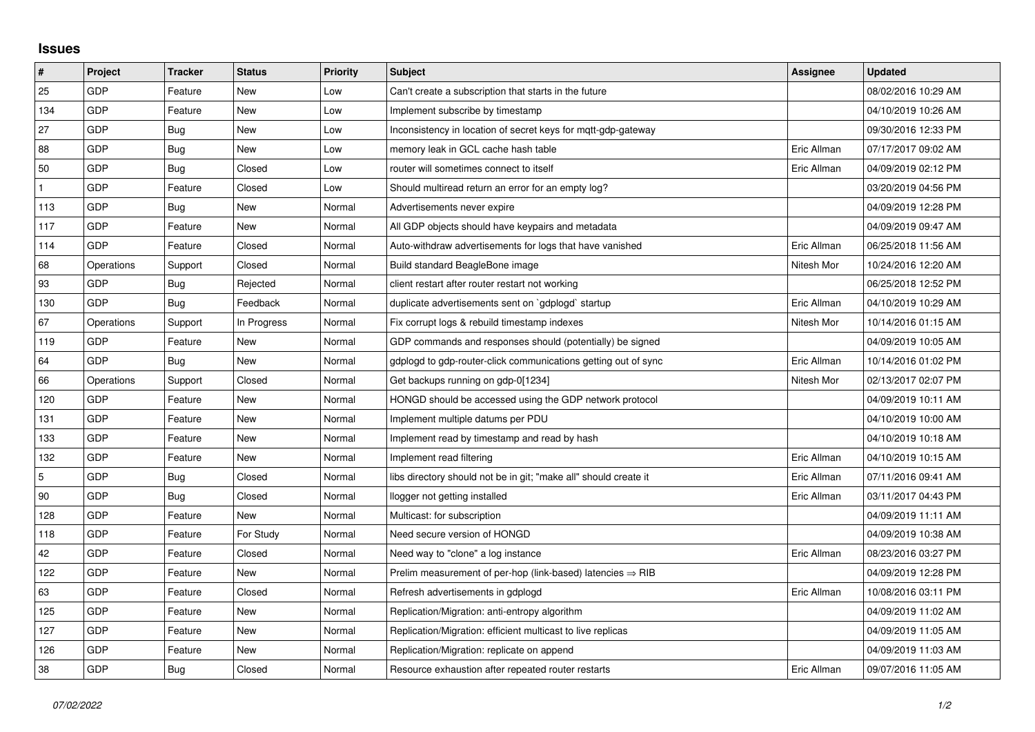## **Issues**

| $\sharp$       | Project    | <b>Tracker</b> | <b>Status</b> | <b>Priority</b> | <b>Subject</b>                                                         | <b>Assignee</b> | <b>Updated</b>      |
|----------------|------------|----------------|---------------|-----------------|------------------------------------------------------------------------|-----------------|---------------------|
| 25             | GDP        | Feature        | <b>New</b>    | Low             | Can't create a subscription that starts in the future                  |                 | 08/02/2016 10:29 AM |
| 134            | GDP        | Feature        | New           | Low             | Implement subscribe by timestamp                                       |                 | 04/10/2019 10:26 AM |
| 27             | GDP        | Bug            | New           | Low             | Inconsistency in location of secret keys for mgtt-gdp-gateway          |                 | 09/30/2016 12:33 PM |
| 88             | GDP        | Bug            | New           | Low             | memory leak in GCL cache hash table                                    | Eric Allman     | 07/17/2017 09:02 AM |
| 50             | GDP        | Bug            | Closed        | Low             | router will sometimes connect to itself                                | Eric Allman     | 04/09/2019 02:12 PM |
| $\mathbf{1}$   | GDP        | Feature        | Closed        | Low             | Should multiread return an error for an empty log?                     |                 | 03/20/2019 04:56 PM |
| 113            | GDP        | Bug            | New           | Normal          | Advertisements never expire                                            |                 | 04/09/2019 12:28 PM |
| 117            | GDP        | Feature        | <b>New</b>    | Normal          | All GDP objects should have keypairs and metadata                      |                 | 04/09/2019 09:47 AM |
| 114            | GDP        | Feature        | Closed        | Normal          | Auto-withdraw advertisements for logs that have vanished               | Eric Allman     | 06/25/2018 11:56 AM |
| 68             | Operations | Support        | Closed        | Normal          | Build standard BeagleBone image                                        | Nitesh Mor      | 10/24/2016 12:20 AM |
| 93             | GDP        | <b>Bug</b>     | Rejected      | Normal          | client restart after router restart not working                        |                 | 06/25/2018 12:52 PM |
| 130            | GDP        | Bug            | Feedback      | Normal          | duplicate advertisements sent on `gdplogd` startup                     | Eric Allman     | 04/10/2019 10:29 AM |
| 67             | Operations | Support        | In Progress   | Normal          | Fix corrupt logs & rebuild timestamp indexes                           | Nitesh Mor      | 10/14/2016 01:15 AM |
| 119            | GDP        | Feature        | New           | Normal          | GDP commands and responses should (potentially) be signed              |                 | 04/09/2019 10:05 AM |
| 64             | GDP        | Bug            | New           | Normal          | gdplogd to gdp-router-click communications getting out of sync         | Eric Allman     | 10/14/2016 01:02 PM |
| 66             | Operations | Support        | Closed        | Normal          | Get backups running on gdp-0[1234]                                     | Nitesh Mor      | 02/13/2017 02:07 PM |
| 120            | GDP        | Feature        | New           | Normal          | HONGD should be accessed using the GDP network protocol                |                 | 04/09/2019 10:11 AM |
| 131            | GDP        | Feature        | New           | Normal          | Implement multiple datums per PDU                                      |                 | 04/10/2019 10:00 AM |
| 133            | GDP        | Feature        | <b>New</b>    | Normal          | Implement read by timestamp and read by hash                           |                 | 04/10/2019 10:18 AM |
| 132            | GDP        | Feature        | New           | Normal          | Implement read filtering                                               | Eric Allman     | 04/10/2019 10:15 AM |
| $\overline{5}$ | GDP        | Bug            | Closed        | Normal          | libs directory should not be in git; "make all" should create it       | Eric Allman     | 07/11/2016 09:41 AM |
| 90             | GDP        | Bug            | Closed        | Normal          | llogger not getting installed                                          | Eric Allman     | 03/11/2017 04:43 PM |
| 128            | GDP        | Feature        | New           | Normal          | Multicast: for subscription                                            |                 | 04/09/2019 11:11 AM |
| 118            | GDP        | Feature        | For Study     | Normal          | Need secure version of HONGD                                           |                 | 04/09/2019 10:38 AM |
| 42             | GDP        | Feature        | Closed        | Normal          | Need way to "clone" a log instance                                     | Eric Allman     | 08/23/2016 03:27 PM |
| 122            | GDP        | Feature        | New           | Normal          | Prelim measurement of per-hop (link-based) latencies $\Rightarrow$ RIB |                 | 04/09/2019 12:28 PM |
| 63             | GDP        | Feature        | Closed        | Normal          | Refresh advertisements in gdplogd                                      | Eric Allman     | 10/08/2016 03:11 PM |
| 125            | GDP        | Feature        | New           | Normal          | Replication/Migration: anti-entropy algorithm                          |                 | 04/09/2019 11:02 AM |
| 127            | GDP        | Feature        | New           | Normal          | Replication/Migration: efficient multicast to live replicas            |                 | 04/09/2019 11:05 AM |
| 126            | GDP        | Feature        | New           | Normal          | Replication/Migration: replicate on append                             |                 | 04/09/2019 11:03 AM |
| 38             | GDP        | Bug            | Closed        | Normal          | Resource exhaustion after repeated router restarts                     | Eric Allman     | 09/07/2016 11:05 AM |